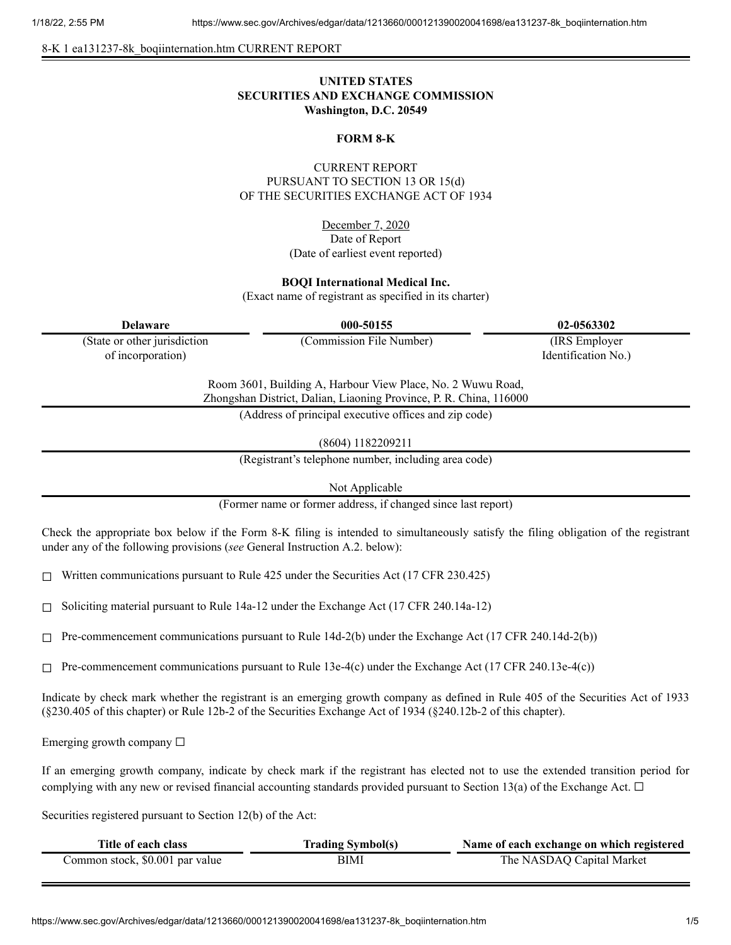8-K 1 ea131237-8k\_boqiinternation.htm CURRENT REPORT

# **UNITED STATES SECURITIES AND EXCHANGE COMMISSION Washington, D.C. 20549**

#### **FORM 8-K**

### CURRENT REPORT PURSUANT TO SECTION 13 OR 15(d) OF THE SECURITIES EXCHANGE ACT OF 1934

December 7, 2020 Date of Report (Date of earliest event reported)

#### **BOQI International Medical Inc.**

(Exact name of registrant as specified in its charter)

| <b>Delaware</b>                                                                                                                   | 000-50155                                             | 02-0563302          |  |
|-----------------------------------------------------------------------------------------------------------------------------------|-------------------------------------------------------|---------------------|--|
| (State or other jurisdiction                                                                                                      | (Commission File Number)                              | (IRS Employer)      |  |
| of incorporation)                                                                                                                 |                                                       | Identification No.) |  |
| Room 3601, Building A, Harbour View Place, No. 2 Wuwu Road,<br>Zhongshan District, Dalian, Liaoning Province, P. R. China, 116000 |                                                       |                     |  |
|                                                                                                                                   | (Address of principal executive offices and zip code) |                     |  |
|                                                                                                                                   |                                                       |                     |  |

(8604) 1182209211

(Registrant's telephone number, including area code)

Not Applicable

(Former name or former address, if changed since last report)

Check the appropriate box below if the Form 8-K filing is intended to simultaneously satisfy the filing obligation of the registrant under any of the following provisions (*see* General Instruction A.2. below):

 $\Box$  Written communications pursuant to Rule 425 under the Securities Act (17 CFR 230.425)

 $\Box$  Soliciting material pursuant to Rule 14a-12 under the Exchange Act (17 CFR 240.14a-12)

☐ Pre-commencement communications pursuant to Rule 14d-2(b) under the Exchange Act (17 CFR 240.14d-2(b))

 $\Box$  Pre-commencement communications pursuant to Rule 13e-4(c) under the Exchange Act (17 CFR 240.13e-4(c))

Indicate by check mark whether the registrant is an emerging growth company as defined in Rule 405 of the Securities Act of 1933 (§230.405 of this chapter) or Rule 12b-2 of the Securities Exchange Act of 1934 (§240.12b-2 of this chapter).

Emerging growth company  $\Box$ 

If an emerging growth company, indicate by check mark if the registrant has elected not to use the extended transition period for complying with any new or revised financial accounting standards provided pursuant to Section 13(a) of the Exchange Act.  $\Box$ 

Securities registered pursuant to Section 12(b) of the Act:

| Title of each class             | <b>Trading Symbol(s)</b> | Name of each exchange on which registered |
|---------------------------------|--------------------------|-------------------------------------------|
| Common stock, \$0.001 par value | BIMI                     | The NASDAQ Capital Market                 |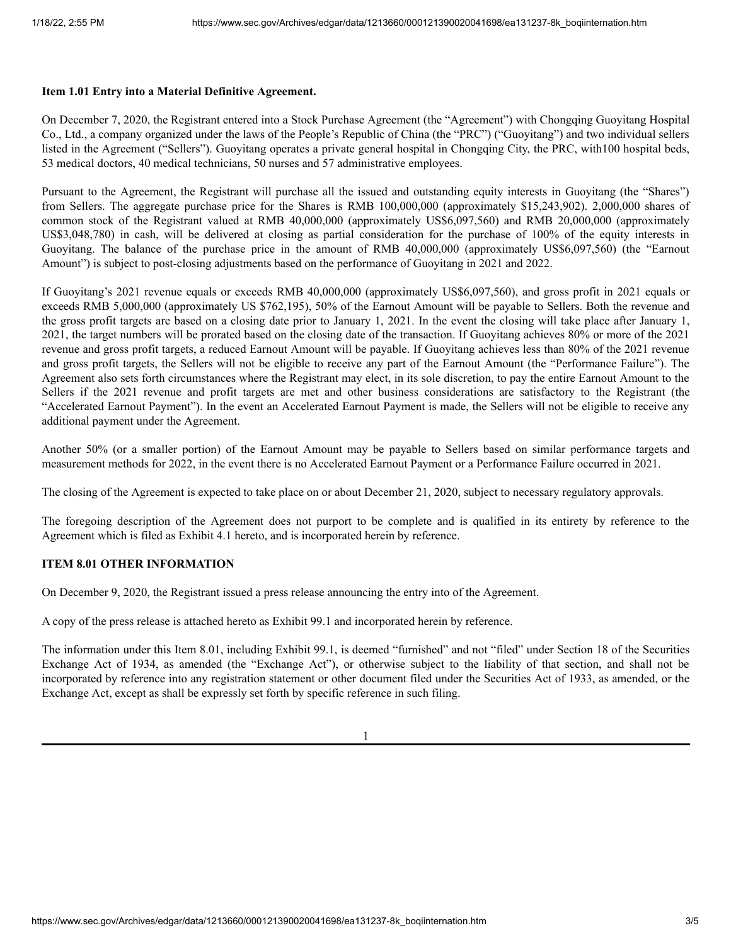### **Item 1.01 Entry into a Material Definitive Agreement.**

On December 7, 2020, the Registrant entered into a Stock Purchase Agreement (the "Agreement") with Chongqing Guoyitang Hospital Co., Ltd., a company organized under the laws of the People's Republic of China (the "PRC") ("Guoyitang") and two individual sellers listed in the Agreement ("Sellers"). Guoyitang operates a private general hospital in Chongqing City, the PRC, with100 hospital beds, 53 medical doctors, 40 medical technicians, 50 nurses and 57 administrative employees.

Pursuant to the Agreement, the Registrant will purchase all the issued and outstanding equity interests in Guoyitang (the "Shares") from Sellers. The aggregate purchase price for the Shares is RMB 100,000,000 (approximately \$15,243,902). 2,000,000 shares of common stock of the Registrant valued at RMB 40,000,000 (approximately US\$6,097,560) and RMB 20,000,000 (approximately US\$3,048,780) in cash, will be delivered at closing as partial consideration for the purchase of 100% of the equity interests in Guoyitang. The balance of the purchase price in the amount of RMB 40,000,000 (approximately US\$6,097,560) (the "Earnout Amount") is subject to post-closing adjustments based on the performance of Guoyitang in 2021 and 2022.

If Guoyitang's 2021 revenue equals or exceeds RMB 40,000,000 (approximately US\$6,097,560), and gross profit in 2021 equals or exceeds RMB 5,000,000 (approximately US \$762,195), 50% of the Earnout Amount will be payable to Sellers. Both the revenue and the gross profit targets are based on a closing date prior to January 1, 2021. In the event the closing will take place after January 1, 2021, the target numbers will be prorated based on the closing date of the transaction. If Guoyitang achieves 80% or more of the 2021 revenue and gross profit targets, a reduced Earnout Amount will be payable. If Guoyitang achieves less than 80% of the 2021 revenue and gross profit targets, the Sellers will not be eligible to receive any part of the Earnout Amount (the "Performance Failure"). The Agreement also sets forth circumstances where the Registrant may elect, in its sole discretion, to pay the entire Earnout Amount to the Sellers if the 2021 revenue and profit targets are met and other business considerations are satisfactory to the Registrant (the "Accelerated Earnout Payment"). In the event an Accelerated Earnout Payment is made, the Sellers will not be eligible to receive any additional payment under the Agreement.

Another 50% (or a smaller portion) of the Earnout Amount may be payable to Sellers based on similar performance targets and measurement methods for 2022, in the event there is no Accelerated Earnout Payment or a Performance Failure occurred in 2021.

The closing of the Agreement is expected to take place on or about December 21, 2020, subject to necessary regulatory approvals.

The foregoing description of the Agreement does not purport to be complete and is qualified in its entirety by reference to the Agreement which is filed as Exhibit 4.1 hereto, and is incorporated herein by reference.

### **ITEM 8.01 OTHER INFORMATION**

On December 9, 2020, the Registrant issued a press release announcing the entry into of the Agreement.

A copy of the press release is attached hereto as Exhibit 99.1 and incorporated herein by reference.

The information under this Item 8.01, including Exhibit 99.1, is deemed "furnished" and not "filed" under Section 18 of the Securities Exchange Act of 1934, as amended (the "Exchange Act"), or otherwise subject to the liability of that section, and shall not be incorporated by reference into any registration statement or other document filed under the Securities Act of 1933, as amended, or the Exchange Act, except as shall be expressly set forth by specific reference in such filing.

1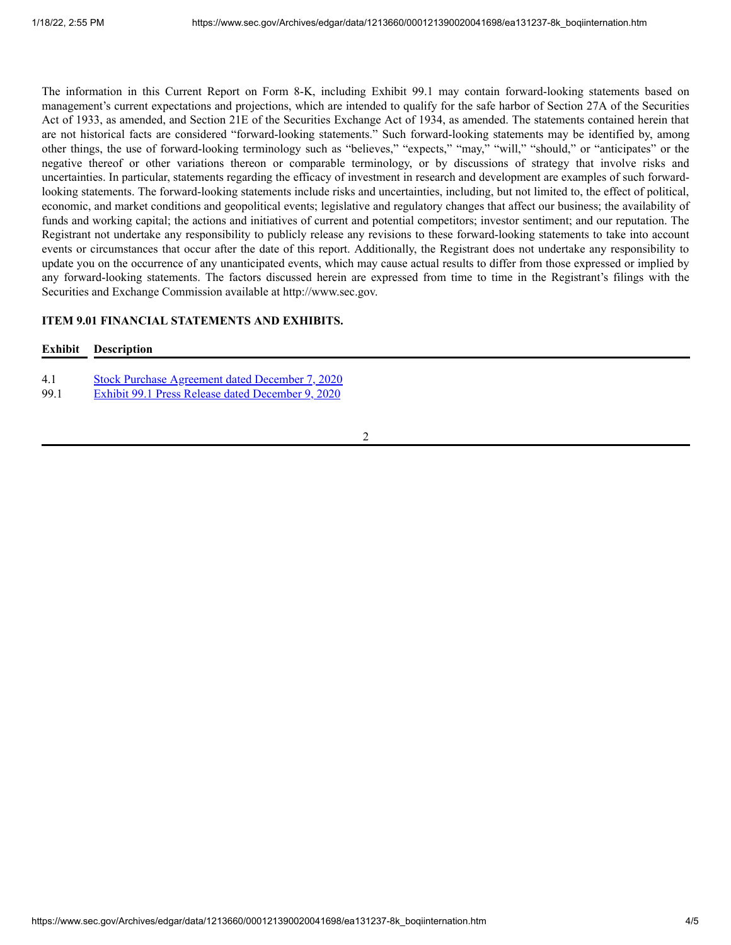The information in this Current Report on Form 8-K, including Exhibit 99.1 may contain forward-looking statements based on management's current expectations and projections, which are intended to qualify for the safe harbor of Section 27A of the Securities Act of 1933, as amended, and Section 21E of the Securities Exchange Act of 1934, as amended. The statements contained herein that are not historical facts are considered "forward-looking statements." Such forward-looking statements may be identified by, among other things, the use of forward-looking terminology such as "believes," "expects," "may," "will," "should," or "anticipates" or the negative thereof or other variations thereon or comparable terminology, or by discussions of strategy that involve risks and uncertainties. In particular, statements regarding the efficacy of investment in research and development are examples of such forwardlooking statements. The forward-looking statements include risks and uncertainties, including, but not limited to, the effect of political, economic, and market conditions and geopolitical events; legislative and regulatory changes that affect our business; the availability of funds and working capital; the actions and initiatives of current and potential competitors; investor sentiment; and our reputation. The Registrant not undertake any responsibility to publicly release any revisions to these forward-looking statements to take into account events or circumstances that occur after the date of this report. Additionally, the Registrant does not undertake any responsibility to update you on the occurrence of any unanticipated events, which may cause actual results to differ from those expressed or implied by any forward-looking statements. The factors discussed herein are expressed from time to time in the Registrant's filings with the Securities and Exchange Commission available at http://www.sec.gov.

# **ITEM 9.01 FINANCIAL STATEMENTS AND EXHIBITS.**

### **Exhibit Description**

- 4.1 Stock Purchase [Agreement](https://www.sec.gov/Archives/edgar/data/1213660/000121390020041698/ea131237ex4-1_boqiinter.htm) dated December 7, 2020
- 99.1 Exhibit 99.1 Press Release dated [December](https://www.sec.gov/Archives/edgar/data/1213660/000121390020041698/ea131237ex99-1_boqiinter.htm) 9, 2020

2